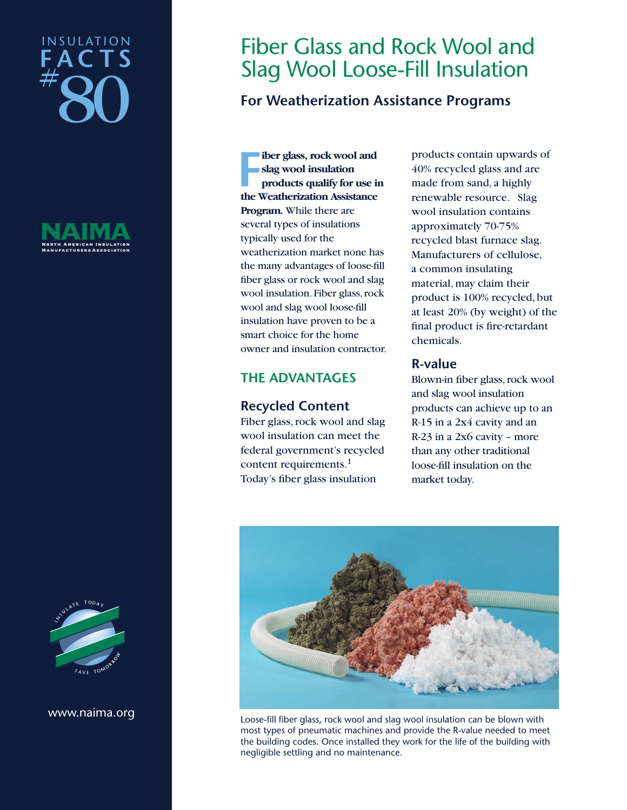# $\frac{1}{2}$ 80 I N S U L AT I O N **FAC T S**





#### www.naima.org

# Fiber Glass and Rock Wool and Slag Wool Loose-Fill Insulation

# **For Weatherization Assistance Programs**

**FR** is the Weatherization Assistance<br>
the Weatherization Assistance **iber glass, rock wool and slag wool insulation products qualify for use in Program.** While there are several types of insulations typically used for the weatherization market none has the many advantages of loose-fill fiber glass or rock wool and slag wool insulation.Fiber glass,rock wool and slag wool loose-fill insulation have proven to be a smart choice for the home owner and insulation contractor.

# **THE ADVANTAGES**

# **Recycled Content**

Fiber glass, rock wool and slag wool insulation can meet the federal government's recycled content requirements.<sup>1</sup> Today's fiber glass insulation

products contain upwards of 40% recycled glass and are made from sand, a highly renewable resource. Slag wool insulation contains approximately 70-75% recycled blast furnace slag. Manufacturers of cellulose, a common insulating material, may claim their product is 100% recycled, but at least 20% (by weight) of the final product is fire-retardant chemicals.

# **R-value**

Blown-in fiber glass,rock wool and slag wool insulation products can achieve up to an R-15 in a 2x4 cavity and an R-23 in a 2x6 cavity – more than any other traditional loose-fill insulation on the market today.



Loose-fill fiber glass, rock wool and slag wool insulation can be blown with most types of pneumatic machines and provide the R-value needed to meet the building codes. Once installed they work for the life of the building with negligible settling and no maintenance.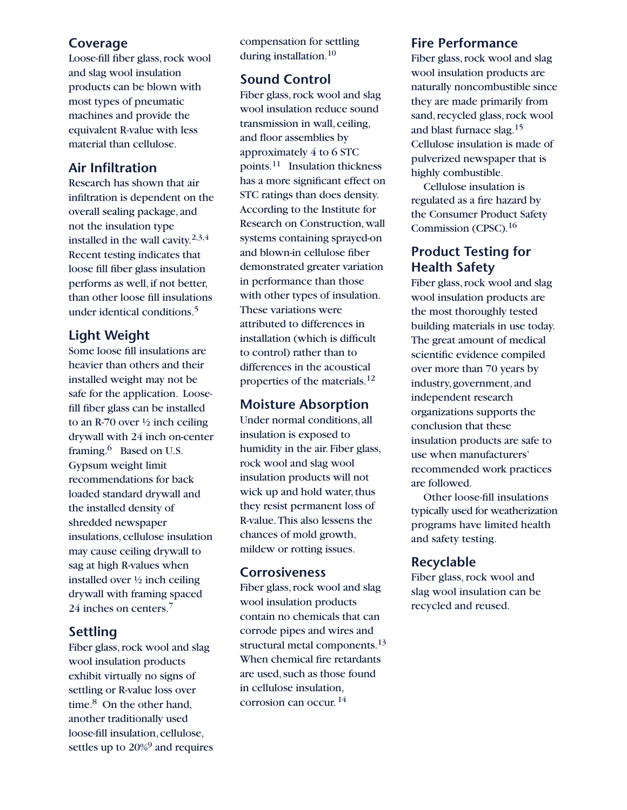# **Coverage**

Loose-fill fiber glass, rock wool and slag wool insulation products can be blown with most types of pneumatic machines and provide the equivalent R-value with less material than cellulose.

# **Air Infiltration**

Research has shown that air infiltration is dependent on the overall sealing package, and not the insulation type installed in the wall cavity.<sup>2,3,4</sup> Recent testing indicates that loose fill fiber glass insulation performs as well, if not better, than other loose fill insulations under identical conditions.<sup>5</sup>

# **Light Weight**

Some loose fill insulations are heavier than others and their installed weight may not be safe for the application. Loosefill fiber glass can be installed to an R-70 over  $\frac{1}{2}$  inch ceiling drywall with 24 inch on-center framing.<sup>6</sup> Based on U.S. Gypsum weight limit recommendations for back loaded standard drywall and the installed density of shredded newspaper insulations,cellulose insulation may cause ceiling drywall to sag at high R-values when installed over ½ inch ceiling drywall with framing spaced 24 inches on centers.7

# **Settling**

Fiber glass, rock wool and slag wool insulation products exhibit virtually no signs of settling or R-value loss over time.<sup>8</sup> On the other hand, another traditionally used loose-fill insulation, cellulose, settles up to 20%<sup>9</sup> and requires compensation for settling during installation.<sup>10</sup>

# **Sound Control**

Fiber glass, rock wool and slag wool insulation reduce sound transmission in wall, ceiling, and floor assemblies by approximately 4 to 6 STC points.11 Insulation thickness has a more significant effect on STC ratings than does density. According to the Institute for Research on Construction, wall systems containing sprayed-on and blown-in cellulose fiber demonstrated greater variation in performance than those with other types of insulation. These variations were attributed to differences in installation (which is difficult to control) rather than to differences in the acoustical properties of the materials.12

## **Moisture Absorption**

Under normal conditions,all insulation is exposed to humidity in the air. Fiber glass, rock wool and slag wool insulation products will not wick up and hold water, thus they resist permanent loss of R-value.This also lessens the chances of mold growth, mildew or rotting issues.

# **Corrosiveness**

Fiber glass, rock wool and slag wool insulation products contain no chemicals that can corrode pipes and wires and structural metal components.<sup>13</sup> When chemical fire retardants are used, such as those found in cellulose insulation, corrosion can occur. <sup>14</sup>

## **Fire Performance**

Fiber glass, rock wool and slag wool insulation products are naturally noncombustible since they are made primarily from sand, recycled glass, rock wool and blast furnace slag.15 Cellulose insulation is made of pulverized newspaper that is highly combustible.

Cellulose insulation is regulated as a fire hazard by the Consumer Product Safety Commission (CPSC).16

# **Product Testing for Health Safety**

Fiber glass, rock wool and slag wool insulation products are the most thoroughly tested building materials in use today. The great amount of medical scientific evidence compiled over more than 70 years by industry,government,and independent research organizations supports the conclusion that these insulation products are safe to use when manufacturers' recommended work practices are followed.

Other loose-fill insulations typically used for weatherization programs have limited health and safety testing.

## **Recyclable**

Fiber glass, rock wool and slag wool insulation can be recycled and reused.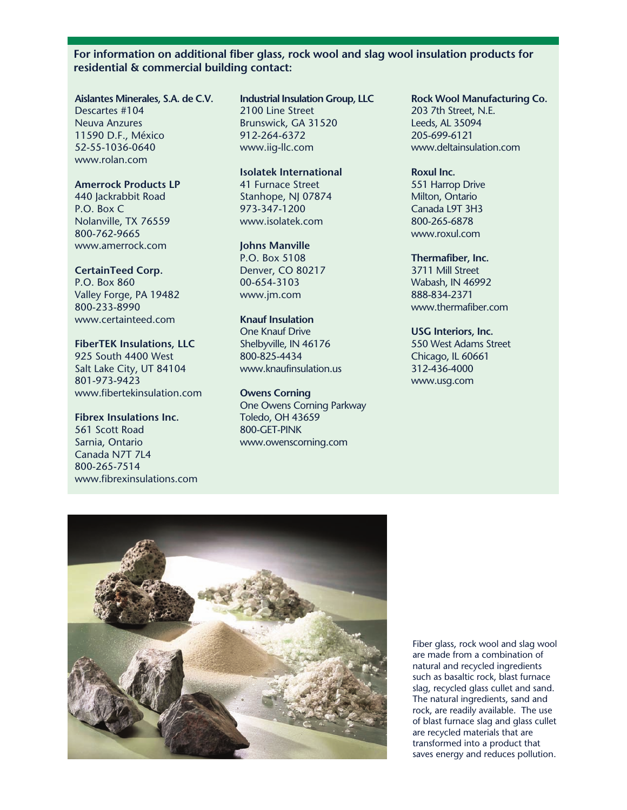#### **For information on additional fiber glass, rock wool and slag wool insulation products for residential & commercial building contact:**

#### **Aislantes Minerales, S.A. de C.V.**

Descartes #104 Neuva Anzures 11590 D.F., México 52-55-1036-0640 www.rolan.com

#### **Amerrock Products LP**

440 Jackrabbit Road P.O. Box C Nolanville, TX 76559 800-762-9665 www.amerrock.com

#### **CertainTeed Corp.**

P.O. Box 860 Valley Forge, PA 19482 800-233-8990 www.certainteed.com

## **FiberTEK Insulations, LLC**

925 South 4400 West Salt Lake City, UT 84104 801-973-9423 www.fibertekinsulation.com

#### **Fibrex Insulations Inc.**

561 Scott Road Sarnia, Ontario Canada N7T 7L4 800-265-7514 www.fibrexinsulations.com

# **Industrial Insulation Group, LLC**

2100 Line Street Brunswick, GA 31520 912-264-6372 www.iig-llc.com

#### **Isolatek International**

41 Furnace Street Stanhope, NJ 07874 973-347-1200 www.isolatek.com

#### **Johns Manville**

P.O. Box 5108 Denver, CO 80217 00-654-3103 www.jm.com

#### **Knauf Insulation**

One Knauf Drive Shelbyville, IN 46176 800-825-4434 www.knaufinsulation.us

#### **Owens Corning**

One Owens Corning Parkway Toledo, OH 43659 800-GET-PINK www.owenscorning.com

#### **Rock Wool Manufacturing Co.**

203 7th Street, N.E. Leeds, AL 35094 205-699-6121 www.deltainsulation.com

#### **Roxul Inc.**

551 Harrop Drive Milton, Ontario Canada L9T 3H3 800-265-6878 www.roxul.com

#### **Thermafiber, Inc.**

3711 Mill Street Wabash, IN 46992 888-834-2371 www.thermafiber.com

#### **USG Interiors, Inc.**

550 West Adams Street Chicago, IL 60661 312-436-4000 www.usg.com



Fiber glass, rock wool and slag wool are made from a combination of natural and recycled ingredients such as basaltic rock, blast furnace slag, recycled glass cullet and sand. The natural ingredients, sand and rock, are readily available. The use of blast furnace slag and glass cullet are recycled materials that are transformed into a product that saves energy and reduces pollution.